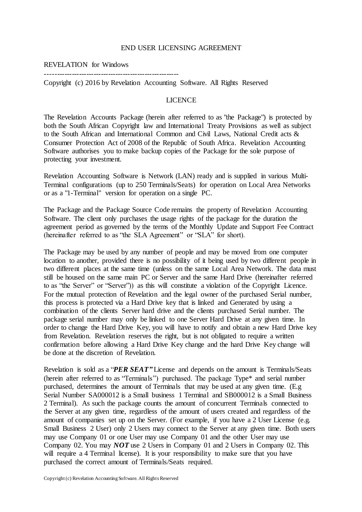### END USER LICENSING AGREEMENT

#### REVELATION for Windows -------------------------------------------------------

Copyright (c) 2016 by Revelation Accounting Software. All Rights Reserved

## LICENCE

The Revelation Accounts Package (herein after referred to as "the Package") is protected by both the South African Copyright law and International Treaty Provisions as well as subject to the South African and International Common and Civil Laws, National Credit acts & Consumer Protection Act of 2008 of the Republic of South Africa. Revelation Accounting Software authorises you to make backup copies of the Package for the sole purpose of protecting your investment.

Revelation Accounting Software is Network (LAN) ready and is supplied in various Multi-Terminal configurations (up to 250 Terminals/Seats) for operation on Local Area Networks or as a "1-Terminal" version for operation on a single PC.

The Package and the Package Source Code remains the property of Revelation Accounting Software. The client only purchases the usage rights of the package for the duration the agreement period as governed by the terms of the Monthly Update and Support Fee Contract (hereinafter referred to as "the SLA Agreement" or "SLA" for short).

The Package may be used by any number of people and may be moved from one computer location to another, provided there is no possibility of it being used by two different people in two different places at the same time (unless on the same Local Area Network. The data must still be housed on the same main PC or Server and the same Hard Drive (hereinafter referred to as "the Server" or "Server")) as this will constitute a violation of the Copyright Licence. For the mutual protection of Revelation and the legal owner of the purchased Serial number, this process is protected via a Hard Drive key that is linked and Generated by using a combination of the clients Server hard drive and the clients purchased Serial number. The package serial number may only be linked to one Server Hard Drive at any given time. In order to change the Hard Drive Key, you will have to notify and obtain a new Hard Drive key from Revelation. Revelation reserves the right, but is not obligated to require a written confirmation before allowing a Hard Drive Key change and the hard Drive Key change will be done at the discretion of Revelation.

Revelation is sold as a "*PER SEAT"* License and depends on the amount is Terminals/Seats (herein after referred to as "Terminals") purchased. The package Type\* and serial number purchased, determines the amount of Terminals that may be used at any given time. (E.g Serial Number SA000012 is a Small business 1 Terminal and SB000012 is a Small Business 2 Terminal). As such the package counts the amount of concurrent Terminals connected to the Server at any given time, regardless of the amount of users created and regardless of the amount of companies set up on the Server. (For example, if you have a 2 User License (e.g. Small Business 2 User) only 2 Users may connect to the Server at any given time. Both users may use Company 01 or one User may use Company 01 and the other User may use Company 02. You may *NOT* use 2 Users in Company 01 and 2 Users in Company 02. This will require a 4 Terminal license). It is your responsibility to make sure that you have purchased the correct amount of Terminals/Seats required.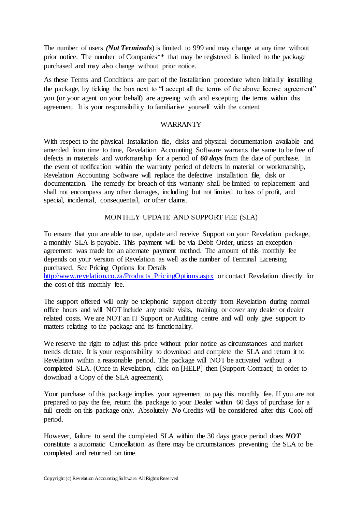The number of users *(Not Terminals*) is limited to 999 and may change at any time without prior notice. The number of Companies\*\* that may be registered is limited to the package purchased and may also change without prior notice.

As these Terms and Conditions are part of the Installation procedure when initially installing the package, by ticking the box next to "I accept all the terms of the above license agreement" you (or your agent on your behalf) are agreeing with and excepting the terms within this agreement. It is your responsibility to familiarise yourself with the content

## WARRANTY

With respect to the physical Installation file, disks and physical documentation available and amended from time to time, Revelation Accounting Software warrants the same to be free of defects in materials and workmanship for a period of *60 days* from the date of purchase. In the event of notification within the warranty period of defects in material or workmanship, Revelation Accounting Software will replace the defective Installation file, disk or documentation. The remedy for breach of this warranty shall be limited to replacement and shall not encompass any other damages, including but not limited to loss of profit, and special, incidental, consequential, or other claims.

## MONTHLY UPDATE AND SUPPORT FEE (SLA)

To ensure that you are able to use, update and receive Support on your Revelation package, a monthly SLA is payable. This payment will be via Debit Order, unless an exception agreement was made for an alternate payment method. The amount of this monthly fee depends on your version of Revelation as well as the number of Terminal Licensing purchased. See Pricing Options for Details

[http://www.revelation.co.za/Products\\_PricingOptions.aspx](http://www.revelation.co.za/Products_PricingOptions.aspx) or contact Revelation directly for the cost of this monthly fee.

The support offered will only be telephonic support directly from Revelation during normal office hours and will NOT include any onsite visits, training or cover any dealer or dealer related costs. We are NOT an IT Support or Auditing centre and will only give support to matters relating to the package and its functionality.

We reserve the right to adjust this price without prior notice as circumstances and market trends dictate. It is your responsibility to download and complete the SLA and return it to Revelation within a reasonable period. The package will NOT be activated without a completed SLA. (Once in Revelation, click on [HELP] then [Support Contract] in order to download a Copy of the SLA agreement).

Your purchase of this package implies your agreement to pay this monthly fee. If you are not prepared to pay the fee, return this package to your Dealer within 60 days of purchase for a full credit on this package only. Absolutely *No* Credits will be considered after this Cool off period.

However, failure to send the completed SLA within the 30 days grace period does *NOT* constitute a automatic Cancellation as there may be circumstances preventing the SLA to be completed and returned on time.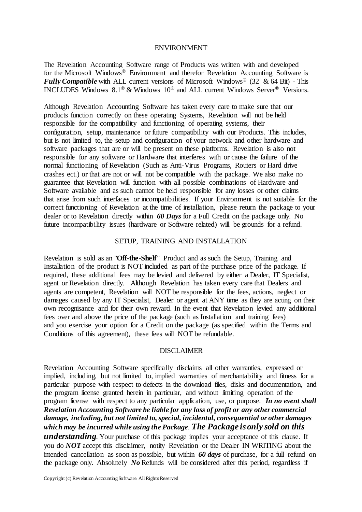#### ENVIRONMENT

The Revelation Accounting Software range of Products was written with and developed for the Microsoft Windows® Environment and therefor Revelation Accounting Software is *Fully Compatible* with ALL current versions of Microsoft Windows<sup>®</sup> (32 & 64 Bit) - This INCLUDES Windows 8.1® & Windows 10® and ALL current Windows Server® Versions.

Although Revelation Accounting Software has taken every care to make sure that our products function correctly on these operating Systems, Revelation will not be held responsible for the compatibility and functioning of operating systems, their configuration, setup, maintenance or future compatibility with our Products. This includes, but is not limited to, the setup and configuration of your network and other hardware and software packages that are or will be present on these platforms. Revelation is also not responsible for any software or Hardware that interferes with or cause the failure of the normal functioning of Revelation (Such as Anti-Virus Programs, Routers or Hard drive crashes ect.) or that are not or will not be compatible with the package. We also make no guarantee that Revelation will function with all possible combinations of Hardware and Software available and as such cannot be held responsible for any losses or other claims that arise from such interfaces or incompatibilities. If your Environment is not suitable for the correct functioning of Revelation at the time of installation, please return the package to your dealer or to Revelation directly within *60 Days* for a Full Credit on the package only. No future incompatibility issues (hardware or Software related) will be grounds for a refund.

## SETUP, TRAINING AND INSTALLATION

Revelation is sold as an "**Off-the-Shelf**" Product and as such the Setup, Training and Installation of the product is NOT included as part of the purchase price of the package. If required, these additional fees may be levied and delivered by either a Dealer, IT Specialist, agent or Revelation directly. Although Revelation has taken every care that Dealers and agents are competent, Revelation will NOT be responsible for the fees, actions, neglect or damages caused by any IT Specialist, Dealer or agent at ANY time as they are acting on their own recognisance and for their own reward. In the event that Revelation levied any additional fees over and above the price of the package (such as Installation and training fees) and you exercise your option for a Credit on the package (as specified within the Terms and Conditions of this agreement), these fees will NOT be refundable.

### DISCLAIMER

Revelation Accounting Software specifically disclaims all other warranties, expressed or implied, including, but not limited to, implied warranties of merchantability and fitness for a particular purpose with respect to defects in the download files, disks and documentation, and the program license granted herein in particular, and without limiting operation of the program license with respect to any particular application, use, or purpose. *In no event shall Revelation Accounting Software be liable for any loss of profit or any other commercial damage, including, but not limited to, special, incidental, consequential or other damages which may be incurred while using the Package*. *The Package is only sold on this* 

*understanding.* Your purchase of this package implies your acceptance of this clause. If you do *NOT* accept this disclaimer, notify Revelation or the Dealer IN WRITING about the intended cancellation as soon as possible, but within *60 days* of purchase, for a full refund on the package only. Absolutely *No* Refunds will be considered after this period, regardless if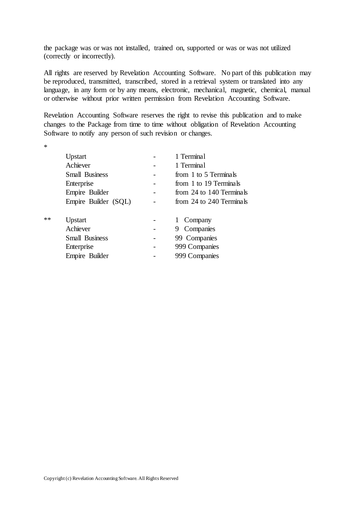the package was or was not installed, trained on, supported or was or was not utilized (correctly or incorrectly).

All rights are reserved by Revelation Accounting Software. No part of this publication may be reproduced, transmitted, transcribed, stored in a retrieval system or translated into any language, in any form or by any means, electronic, mechanical, magnetic, chemical, manual or otherwise without prior written permission from Revelation Accounting Software.

Revelation Accounting Software reserves the right to revise this publication and to make changes to the Package from time to time without obligation of Revelation Accounting Software to notify any person of such revision or changes.

\*

|    | Upstart               | 1 Terminal               |
|----|-----------------------|--------------------------|
|    | Achiever              | 1 Terminal               |
|    | <b>Small Business</b> | from 1 to 5 Terminals    |
|    | Enterprise            | from 1 to 19 Terminals   |
|    | Empire Builder        | from 24 to 140 Terminals |
|    | Empire Builder (SQL)  | from 24 to 240 Terminals |
|    |                       |                          |
| ** | Upstart               | Company                  |
|    | Achiever              | 9 Companies              |
|    | <b>Small Business</b> | 99 Companies             |
|    | Enterprise            | 999 Companies            |
|    | Empire Builder        | 999 Companies            |
|    |                       |                          |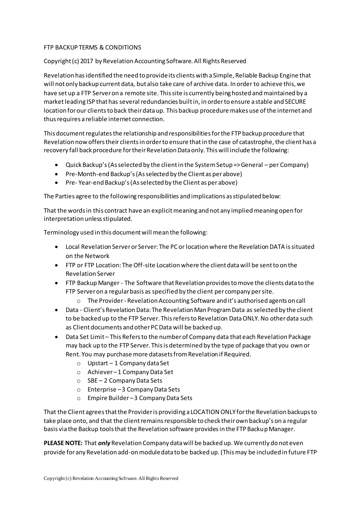# FTP BACKUP TERMS & CONDITIONS

# Copyright (c) 2017 by Revelation Accounting Software. All Rights Reserved

Revelation has identified the need to provide its clients with a Simple, Reliable Backup Engine that will not only backup current data, but also take care of archive data. In order to achieve this, we have set up a FTP Server on a remote site. This site is currently being hosted and maintained by a market leading ISP that has several redundancies built in, in order to ensure a stable and SECURE location for our clients to back their data up. This backup procedure makes use of the internet and thus requires a reliable internet connection.

This document regulates the relationship and responsibilities for the FTP backup procedure that Revelation now offers their clients in order to ensure that in the case of catastrophe, the client has a recovery fall back procedure for their Revelation Data only. This will include the following:

- Quick Backup's (As selected by the client in the System Setup => General per Company)
- Pre-Month-end Backup's (As selected by the Client as per above)
- Pre- Year-end Backup's (As selected by the Client as per above)

The Parties agree to the following responsibilities and implications as stipulated below:

That the words in this contract have an explicitmeaning and not any implied meaning open for interpretation unless stipulated.

Terminology used in this document will mean the following:

- Local Revelation Server or Server: The PC or location where the Revelation DATA is situated on the Network
- FTP or FTP Location: The Off-site Location where the client data will be sent to on the Revelation Server
- FTP Backup Manger The Software that Revelation provides to move the clients data to the FTP Server on a regular basis as specified by the client per company per site.
	- o The Provider Revelation Accounting Software and it's authorised agents on call
- Data Client's Revelation Data: The Revelation Man Program Data as selected by the client to be backed up to the FTP Server. This refers to Revelation Data ONLY. No other data such as Client documents and other PC Data will be backed up.
- Data Set Limit This Refers to the number of Company data that each Revelation Package may back up to the FTP Server. This is determined by the type of package that you own or Rent. You may purchase more datasets from Revelation if Required.
	- o Upstart 1 Company data Set
	- o Achiever –1 Company Data Set
	- o SBE 2 Company Data Sets
	- o Enterprise –3 Company Data Sets
	- o Empire Builder –3 Company Data Sets

That the Client agrees that the Provider is providing a LOCATION ONLY for the Revelation backups to take place onto, and that the client remains responsible to check their own backup's on a regular basis via the Backup tools that the Revelation software provides in the FTP Backup Manager.

**PLEASE NOTE:** That *only* Revelation Company data will be backed up. We currently do not even provide for any Revelation add-on module data to be backed up. (This may be included in future FTP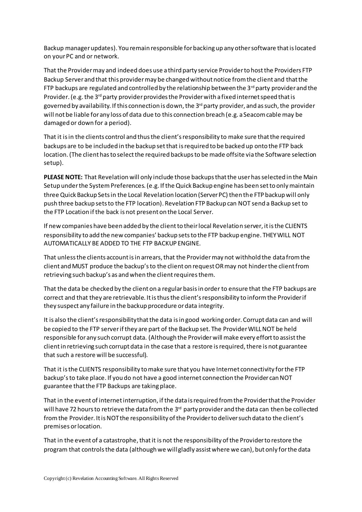Backup manager updates). You remain responsible for backing up any other software that is located on your PC and or network.

That the Provider may and indeed does use a third party service Provider to host the Providers FTP Backup Server and that this provider may be changed without notice from the client and that the FTP backups are regulated and controlled by the relationship between the 3<sup>rd</sup> party provider and the Provider. (e.g. the  $3<sup>rd</sup>$  party provider provides the Provider with a fixed internet speed that is governed by availability. If this connection is down, the  $3<sup>rd</sup>$  party provider, and as such, the provider will not be liable for any loss of data due to this connection breach (e.g. a Seacom cable may be damaged or down for a period).

That it is in the clients control and thus the client's responsibility to make sure that the required backups are to be included in the backup set that is required to be backed up onto the FTP back location. (The client has to select the required backups to be made offsite via the Software selection setup).

**PLEASE NOTE:** That Revelation will only include those backups that the user has selected in the Main Setup under the System Preferences. (e.g. If the Quick Backup engine has been set to only maintain three Quick Backup Sets in the Local Revelation location (Server PC) then the FTP backup will only push three backup sets to the FTP location). Revelation FTP Backup can NOT send a Backup set to the FTP Location if the back is not present on the Local Server.

If new companies have been added by the client to their local Revelation server, it is the CLIENTS responsibility to add the new companies' backup sets to the FTP backup engine. THEY WILL NOT AUTOMATICALLY BE ADDED TO THE FTP BACKUP ENGINE.

That unless the clients account is in arrears, that the Provider may not withhold the data from the client and MUST produce the backup's to the client on request OR may not hinder the client from retrieving such backup's as and when the client requires them.

That the data be checked by the client on a regular basis in order to ensure that the FTP backups are correct and that they are retrievable. It is thus the client's responsibility to inform the Provider if they suspect any failure in the backup procedure or data integrity.

It is also the client's responsibility that the data is in good working order. Corrupt data can and will be copied to the FTP server if they are part of the Backup set. The Provider WILL NOT be held responsible for any such corrupt data. (Although the Provider will make every effort to assist the client in retrieving such corrupt data in the case that a restore is required, there is not guarantee that such a restore will be successful).

That it is the CLIENTS responsibility to make sure that you have Internet connectivity for the FTP backup's to take place. If you do not have a good internet connection the Provider can NOT guarantee that the FTP Backups are taking place.

That in the event of internet interruption, if the data is required from the Provider that the Provider will have 72 hours to retrieve the data from the 3<sup>rd</sup> party provider and the data can then be collected from the Provider. It is NOT the responsibility of the Provider to deliver such data to the client's premises or location.

That in the event of a catastrophe, that it is not the responsibility of the Provider to restore the program that controls the data (although we will gladly assist where we can), but only for the data